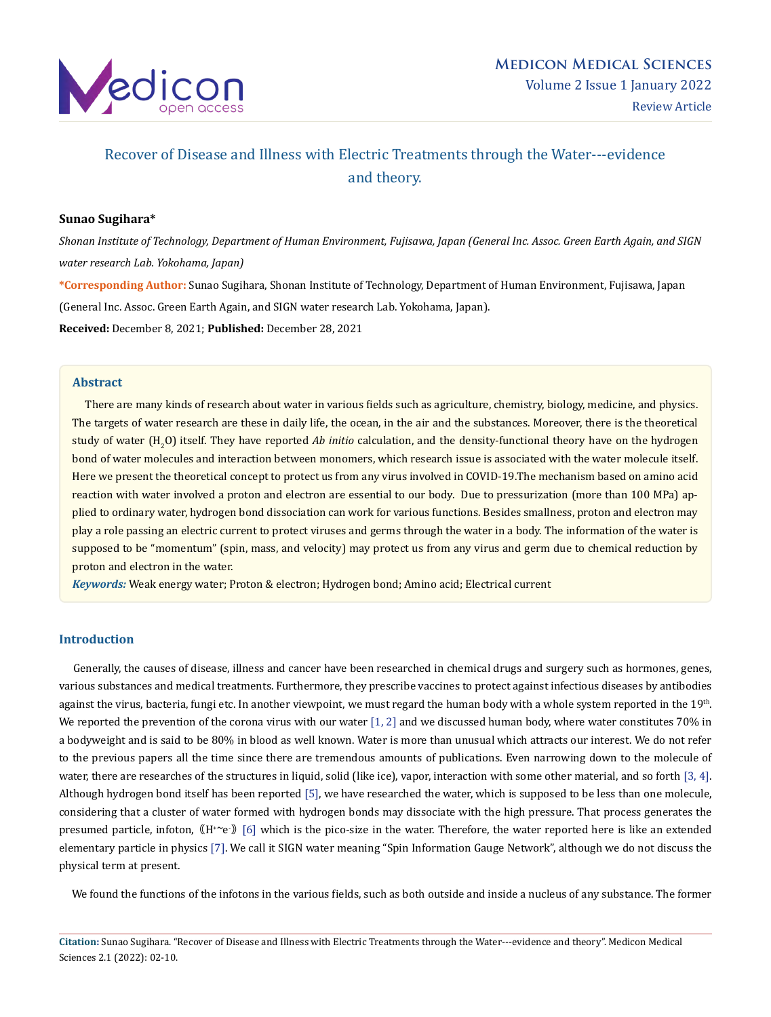

# Recover of Disease and Illness with Electric Treatments through the Water---evidence and theory.

# **Sunao Sugihara\***

*Shonan Institute of Technology, Department of Human Environment, Fujisawa, Japan (General Inc. Assoc. Green Earth Again, and SIGN water research Lab. Yokohama, Japan)*

**\*Corresponding Author:** Sunao Sugihara, Shonan Institute of Technology, Department of Human Environment, Fujisawa, Japan (General Inc. Assoc. Green Earth Again, and SIGN water research Lab. Yokohama, Japan). **Received:** December 8, 2021; **Published:** December 28, 2021

### **Abstract**

 There are many kinds of research about water in various fields such as agriculture, chemistry, biology, medicine, and physics. The targets of water research are these in daily life, the ocean, in the air and the substances. Moreover, there is the theoretical study of water (H<sub>2</sub>O) itself. They have reported *Ab initio c*alculation, and the density-functional theory have on the hydrogen bond of water molecules and interaction between monomers, which research issue is associated with the water molecule itself. Here we present the theoretical concept to protect us from any virus involved in COVID-19.The mechanism based on amino acid reaction with water involved a proton and electron are essential to our body. Due to pressurization (more than 100 MPa) applied to ordinary water, hydrogen bond dissociation can work for various functions. Besides smallness, proton and electron may play a role passing an electric current to protect viruses and germs through the water in a body. The information of the water is supposed to be "momentum" (spin, mass, and velocity) may protect us from any virus and germ due to chemical reduction by proton and electron in the water.

*Keywords:* Weak energy water; Proton & electron; Hydrogen bond; Amino acid; Electrical current

### **Introduction**

 Generally, the causes of disease, illness and cancer have been researched in chemical drugs and surgery such as hormones, genes, various substances and medical treatments. Furthermore, they prescribe vaccines to protect against infectious diseases by antibodies against the virus, bacteria, fungi etc. In another viewpoint, we must regard the human body with a whole system reported in the 19<sup>th</sup>. We reported the prevention of the corona virus with our water  $[1, 2]$  and we discussed human body, where water constitutes 70% in a bodyweight and is said to be 80% in blood as well known. Water is more than unusual which attracts our interest. We do not refer to the previous papers all the time since there are tremendous amounts of publications. Even narrowing down to the molecule of water, there are researches of the structures in liquid, solid (like ice), vapor, interaction with some other material, and so forth [3, 4]. Although hydrogen bond itself has been reported [5], we have researched the water, which is supposed to be less than one molecule, considering that a cluster of water formed with hydrogen bonds may dissociate with the high pressure. That process generates the presumed particle, infoton,  $(M^{\ast \sim}e)$  [6] which is the pico-size in the water. Therefore, the water reported here is like an extended elementary particle in physics [7]. We call it SIGN water meaning "Spin Information Gauge Network", although we do not discuss the physical term at present.

We found the functions of the infotons in the various fields, such as both outside and inside a nucleus of any substance. The former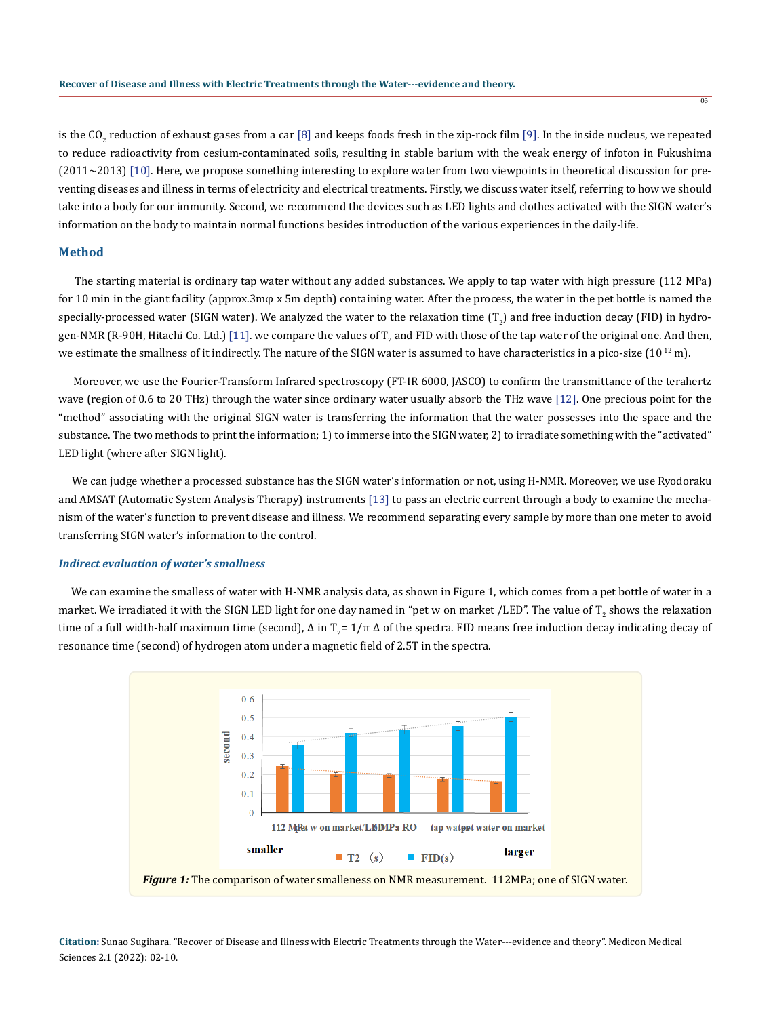is the CO<sub>2</sub> reduction of exhaust gases from a car [8] and keeps foods fresh in the zip-rock film [9]. In the inside nucleus, we repeated to reduce radioactivity from cesium-contaminated soils, resulting in stable barium with the weak energy of infoton in Fukushima (2011~2013) [10]. Here, we propose something interesting to explore water from two viewpoints in theoretical discussion for preventing diseases and illness in terms of electricity and electrical treatments. Firstly, we discuss water itself, referring to how we should take into a body for our immunity. Second, we recommend the devices such as LED lights and clothes activated with the SIGN water's information on the body to maintain normal functions besides introduction of the various experiences in the daily-life.

## **Method**

 The starting material is ordinary tap water without any added substances. We apply to tap water with high pressure (112 MPa) for 10 min in the giant facility (approx.3mφ x 5m depth) containing water. After the process, the water in the pet bottle is named the specially-processed water (SIGN water). We analyzed the water to the relaxation time  $(T_2)$  and free induction decay (FID) in hydrogen-NMR (R-90H, Hitachi Co. Ltd.) [11]. we compare the values of  $\rm T_2$  and FID with those of the tap water of the original one. And then, we estimate the smallness of it indirectly. The nature of the SIGN water is assumed to have characteristics in a pico-size  $(10^{-12}$  m).

 Moreover, we use the Fourier-Transform Infrared spectroscopy (FT-IR 6000, JASCO) to confirm the transmittance of the terahertz wave (region of 0.6 to 20 THz) through the water since ordinary water usually absorb the THz wave [12]. One precious point for the "method" associating with the original SIGN water is transferring the information that the water possesses into the space and the substance. The two methods to print the information; 1) to immerse into the SIGN water, 2) to irradiate something with the "activated" LED light (where after SIGN light).

 We can judge whether a processed substance has the SIGN water's information or not, using H-NMR. Moreover, we use Ryodoraku and AMSAT (Automatic System Analysis Therapy) instruments [13] to pass an electric current through a body to examine the mechanism of the water's function to prevent disease and illness. We recommend separating every sample by more than one meter to avoid transferring SIGN water's information to the control.

### *Indirect evaluation of water's smallness*

 We can examine the smalless of water with H-NMR analysis data, as shown in Figure 1, which comes from a pet bottle of water in a market. We irradiated it with the SIGN LED light for one day named in "pet w on market /LED". The value of T<sub>2</sub> shows the relaxation time of a full width-half maximum time (second), Δ in T<sub>2</sub>= 1/π Δ of the spectra. FID means free induction decay indicating decay of resonance time (second) of hydrogen atom under a magnetic field of 2.5T in the spectra.

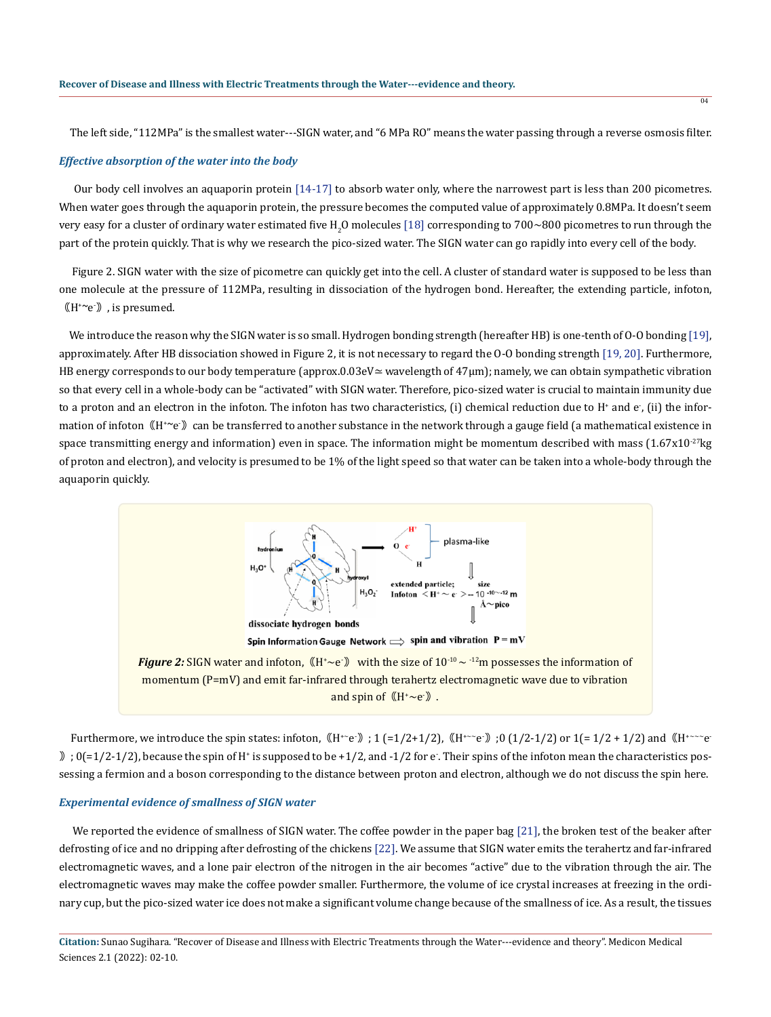The left side, "112MPa" is the smallest water---SIGN water, and "6 MPa RO" means the water passing through a reverse osmosis filter.

### *Effective absorption of the water into the body*

 Our body cell involves an aquaporin protein [14-17] to absorb water only, where the narrowest part is less than 200 picometres. When water goes through the aquaporin protein, the pressure becomes the computed value of approximately 0.8MPa. It doesn't seem very easy for a cluster of ordinary water estimated five  $\rm{H}_{2}O$  molecules [18] corresponding to 700~800 picometres to run through the part of the protein quickly. That is why we research the pico-sized water. The SIGN water can go rapidly into every cell of the body.

 Figure 2. SIGN water with the size of picometre can quickly get into the cell. A cluster of standard water is supposed to be less than one molecule at the pressure of 112MPa, resulting in dissociation of the hydrogen bond. Hereafter, the extending particle, infoton,  $\left(\mathbb{H}^{\ast}\!\!\curvearrowright\!\!{\rm e}\right)$  , is presumed.

We introduce the reason why the SIGN water is so small. Hydrogen bonding strength (hereafter HB) is one-tenth of O-O bonding [19], approximately. After HB dissociation showed in Figure 2, it is not necessary to regard the O-O bonding strength [19, 20]. Furthermore, HB energy corresponds to our body temperature (approx.0.03eV≃ wavelength of 47µm); namely, we can obtain sympathetic vibration so that every cell in a whole-body can be "activated" with SIGN water. Therefore, pico-sized water is crucial to maintain immunity due to a proton and an electron in the infoton. The infoton has two characteristics, (i) chemical reduction due to H $^*$  and e $\,$ , (ii) the information of infoton ((H+~e+)) can be transferred to another substance in the network through a gauge field (a mathematical existence in space transmitting energy and information) even in space. The information might be momentum described with mass  $(1.67 \times 10^{-27})$ kg of proton and electron), and velocity is presumed to be 1% of the light speed so that water can be taken into a whole-body through the aquaporin quickly.



Furthermore, we introduce the spin states: infoton,  $(H^+e)$ ; 1 (=1/2+1/2),  $(H^{+-}e)$ ; 0 (1/2-1/2) or 1(=1/2+1/2) and  $(H^{+--}e^-)$  $\binom{3}{1}$  ; 0(=1/2-1/2), because the spin of H<sup>+</sup> is supposed to be +1/2, and -1/2 for e. Their spins of the infoton mean the characteristics possessing a fermion and a boson corresponding to the distance between proton and electron, although we do not discuss the spin here.

#### *Experimental evidence of smallness of SIGN water*

 We reported the evidence of smallness of SIGN water. The coffee powder in the paper bag [21], the broken test of the beaker after defrosting of ice and no dripping after defrosting of the chickens [22]. We assume that SIGN water emits the terahertz and far-infrared electromagnetic waves, and a lone pair electron of the nitrogen in the air becomes "active" due to the vibration through the air. The electromagnetic waves may make the coffee powder smaller. Furthermore, the volume of ice crystal increases at freezing in the ordinary cup, but the pico-sized water ice does not make a significant volume change because of the smallness of ice. As a result, the tissues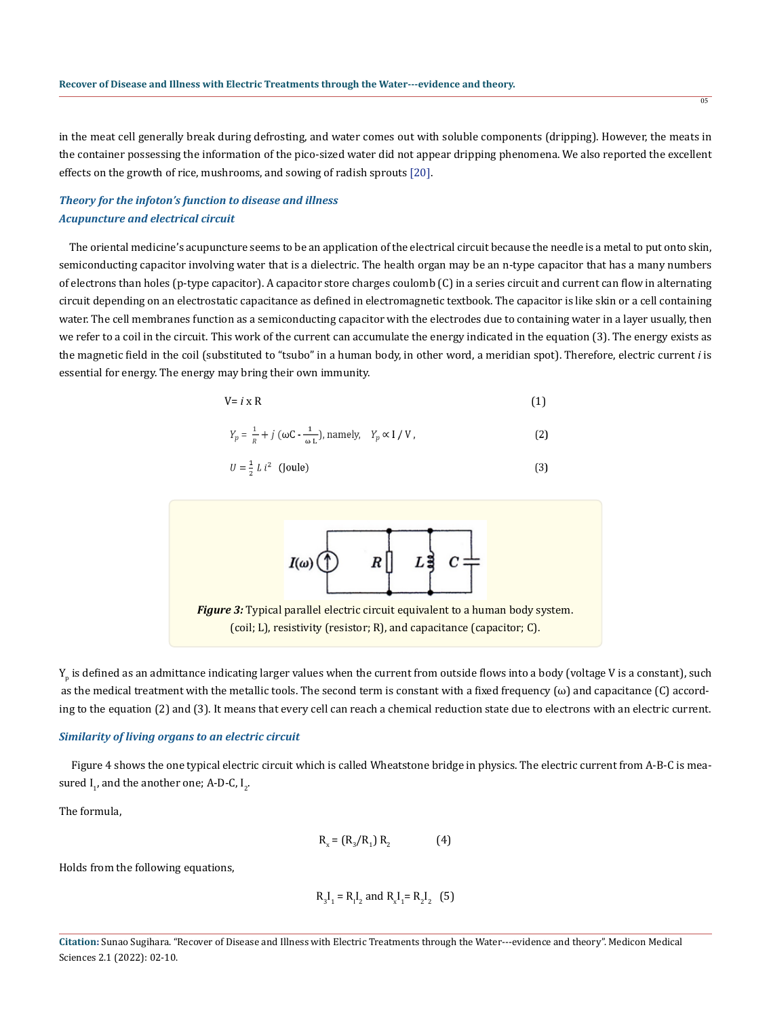in the meat cell generally break during defrosting, and water comes out with soluble components (dripping). However, the meats in the container possessing the information of the pico-sized water did not appear dripping phenomena. We also reported the excellent effects on the growth of rice, mushrooms, and sowing of radish sprouts [20].

# *Theory for the infoton's function to disease and illness Acupuncture and electrical circuit*

 The oriental medicine's acupuncture seems to be an application of the electrical circuit because the needle is a metal to put onto skin, semiconducting capacitor involving water that is a dielectric. The health organ may be an n-type capacitor that has a many numbers of electrons than holes (p-type capacitor). A capacitor store charges coulomb (C) in a series circuit and current can flow in alternating circuit depending on an electrostatic capacitance as defined in electromagnetic textbook. The capacitor is like skin or a cell containing water. The cell membranes function as a semiconducting capacitor with the electrodes due to containing water in a layer usually, then we refer to a coil in the circuit. This work of the current can accumulate the energy indicated in the equation (3). The energy exists as the magnetic field in the coil (substituted to "tsubo" in a human body, in other word, a meridian spot). Therefore, electric current *i* is essential for energy. The energy may bring their own immunity.

$$
V = i \times R \tag{1}
$$

$$
Y_p = \frac{1}{R} + j \left( \omega C - \frac{1}{\omega L} \right), \text{ namely,} \quad Y_p \propto I / V, \tag{2}
$$

$$
U = \frac{1}{2} L i^2 \quad \text{(Joule)}\tag{3}
$$



 $\mathsf{Y}_\mathsf{p}$  is defined as an admittance indicating larger values when the current from outside flows into a body (voltage V is a constant), such as the medical treatment with the metallic tools. The second term is constant with a fixed frequency  $(\omega)$  and capacitance  $(C)$  according to the equation (2) and (3). It means that every cell can reach a chemical reduction state due to electrons with an electric current.

### *Similarity of living organs to an electric circuit*

 Figure 4 shows the one typical electric circuit which is called Wheatstone bridge in physics. The electric current from A-B-C is measured  $I_{1}$ , and the another one; A-D-C,  $I_{2}$ .

The formula,

$$
R_x = (R_3/R_1) R_2
$$
 (4)

Holds from the following equations,

$$
R_3I_1 = R_1I_2
$$
 and  $R_xI_1 = R_2I_2$  (5)

**Citation:** Sunao Sugihara. "Recover of Disease and Illness with Electric Treatments through the Water---evidence and theory". Medicon Medical Sciences 2.1 (2022): 02-10.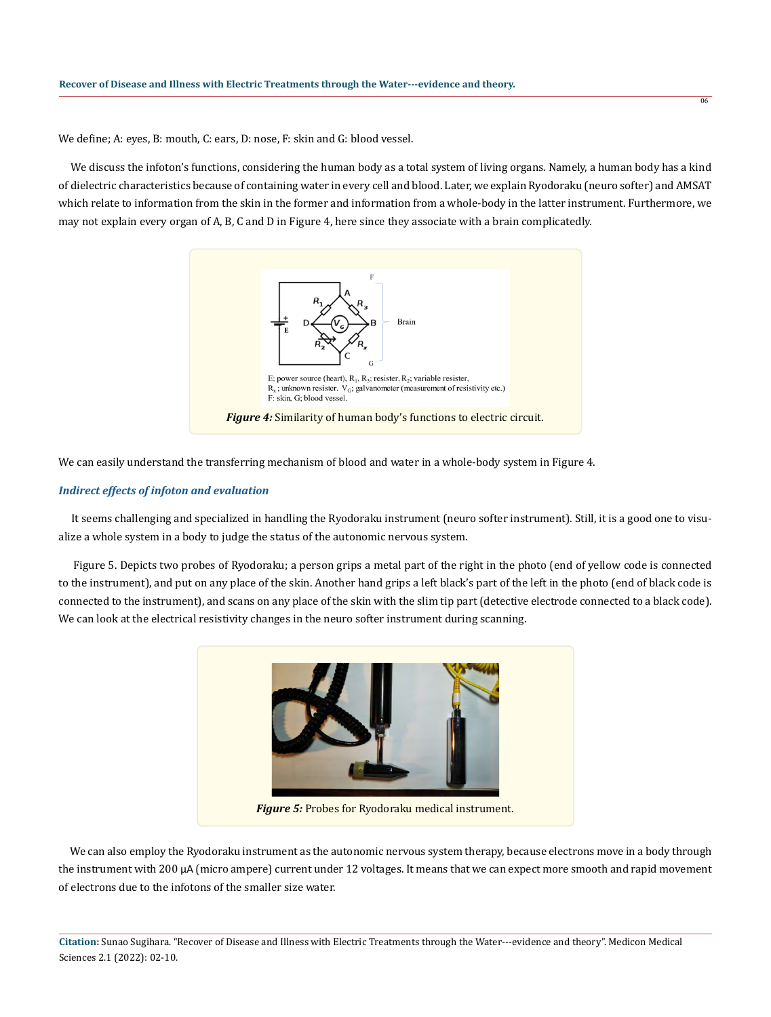We define; A: eyes, B: mouth, C: ears, D: nose, F: skin and G: blood vessel.

 We discuss the infoton's functions, considering the human body as a total system of living organs. Namely, a human body has a kind of dielectric characteristics because of containing water in every cell and blood. Later, we explain Ryodoraku (neuro softer) and AMSAT which relate to information from the skin in the former and information from a whole-body in the latter instrument. Furthermore, we may not explain every organ of A, B, C and D in Figure 4, here since they associate with a brain complicatedly.

06



We can easily understand the transferring mechanism of blood and water in a whole-body system in Figure 4.

#### *Indirect effects of infoton and evaluation*

 It seems challenging and specialized in handling the Ryodoraku instrument (neuro softer instrument). Still, it is a good one to visualize a whole system in a body to judge the status of the autonomic nervous system.

 Figure 5. Depicts two probes of Ryodoraku; a person grips a metal part of the right in the photo (end of yellow code is connected to the instrument), and put on any place of the skin. Another hand grips a left black's part of the left in the photo (end of black code is connected to the instrument), and scans on any place of the skin with the slim tip part (detective electrode connected to a black code). We can look at the electrical resistivity changes in the neuro softer instrument during scanning.



 We can also employ the Ryodoraku instrument as the autonomic nervous system therapy, because electrons move in a body through the instrument with 200 μA (micro ampere) current under 12 voltages. It means that we can expect more smooth and rapid movement of electrons due to the infotons of the smaller size water.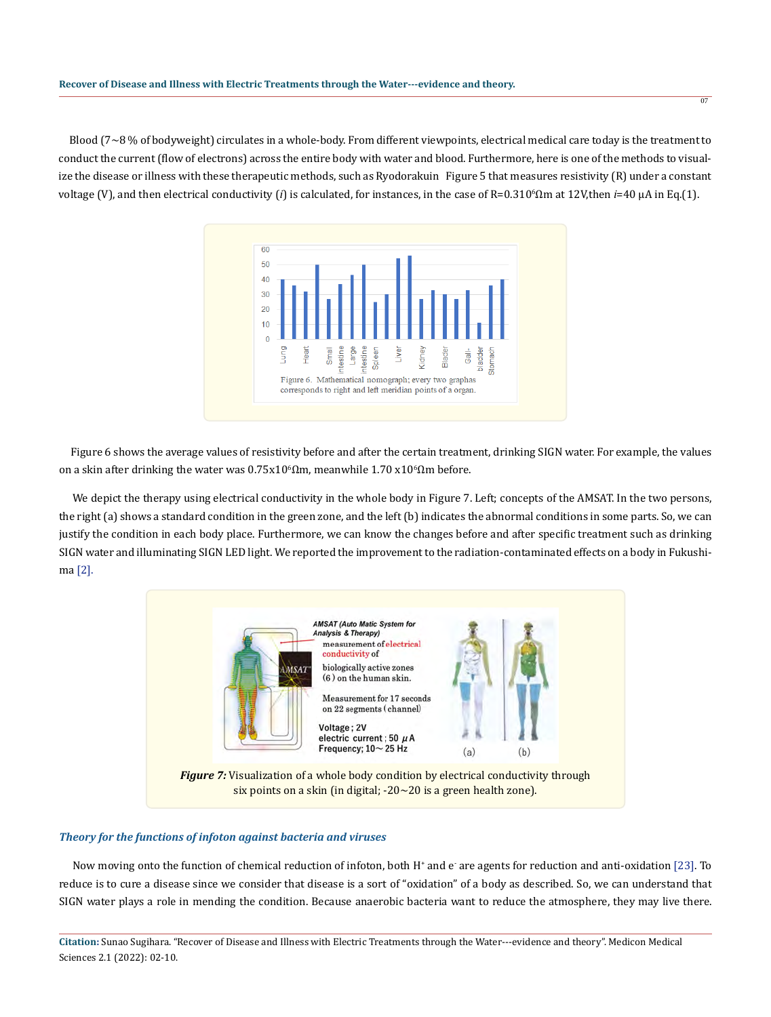Blood (7~8 % of bodyweight) circulates in a whole-body. From different viewpoints, electrical medical care today is the treatment to conduct the current (flow of electrons) across the entire body with water and blood. Furthermore, here is one of the methods to visualize the disease or illness with these therapeutic methods, such as Ryodorakuin Figure 5 that measures resistivity (R) under a constant voltage (V), and then electrical conductivity (*i*) is calculated, for instances, in the case of R=0.310<sup>6</sup>Ωm at 12V,then *i*=40 μA in Eq.(1).



 Figure 6 shows the average values of resistivity before and after the certain treatment, drinking SIGN water. For example, the values on a skin after drinking the water was  $0.75x10^{\circ}$ Ωm, meanwhile  $1.70$  x $10^{\circ}$ Ωm before.

 We depict the therapy using electrical conductivity in the whole body in Figure 7. Left; concepts of the AMSAT. In the two persons, the right (a) shows a standard condition in the green zone, and the left (b) indicates the abnormal conditions in some parts. So, we can justify the condition in each body place. Furthermore, we can know the changes before and after specific treatment such as drinking SIGN water and illuminating SIGN LED light. We reported the improvement to the radiation-contaminated effects on a body in Fukushima [2].



# *Theory for the functions of infoton against bacteria and viruses*

Now moving onto the function of chemical reduction of infoton, both H+ and e<sup>-</sup> are agents for reduction and anti-oxidation [23]. To reduce is to cure a disease since we consider that disease is a sort of "oxidation" of a body as described. So, we can understand that SIGN water plays a role in mending the condition. Because anaerobic bacteria want to reduce the atmosphere, they may live there.

**Citation:** Sunao Sugihara. "Recover of Disease and Illness with Electric Treatments through the Water---evidence and theory". Medicon Medical Sciences 2.1 (2022): 02-10.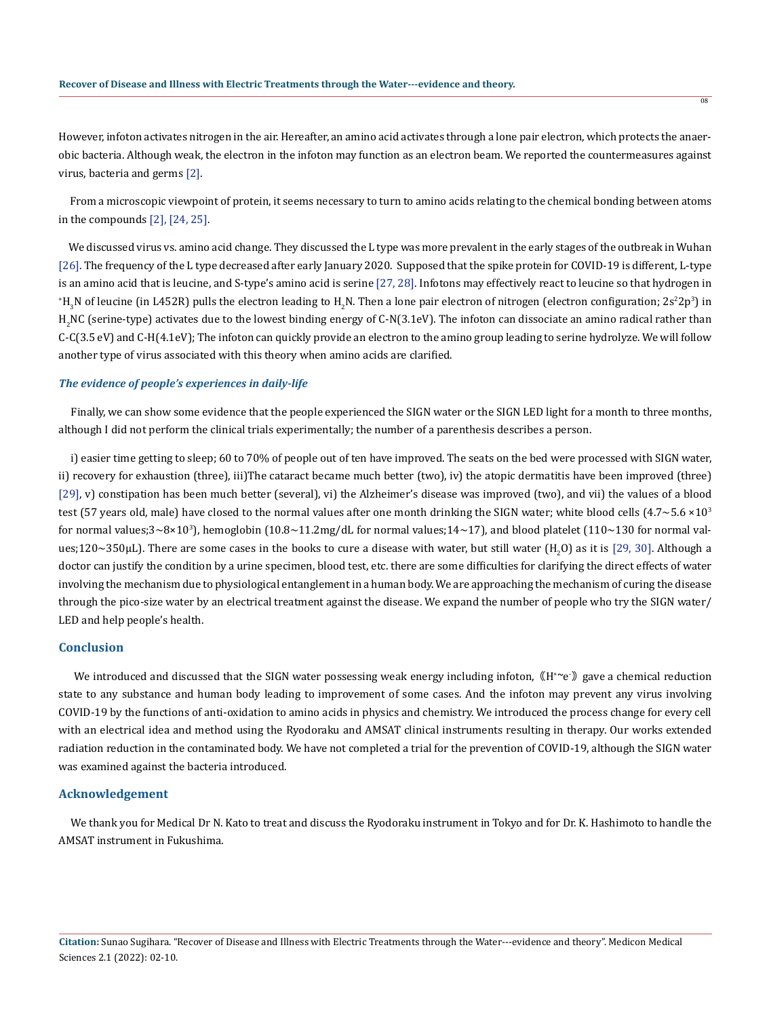However, infoton activates nitrogen in the air. Hereafter, an amino acid activates through a lone pair electron, which protects the anaerobic bacteria. Although weak, the electron in the infoton may function as an electron beam. We reported the countermeasures against virus, bacteria and germs [2].

 From a microscopic viewpoint of protein, it seems necessary to turn to amino acids relating to the chemical bonding between atoms in the compounds [2], [24, 25].

 We discussed virus vs. amino acid change. They discussed the L type was more prevalent in the early stages of the outbreak in Wuhan [26]. The frequency of the L type decreased after early January 2020. Supposed that the spike protein for COVID-19 is different, L-type is an amino acid that is leucine, and S-type's amino acid is serine [27, 28]. Infotons may effectively react to leucine so that hydrogen in  $H_3$ N of leucine (in L452R) pulls the electron leading to  $H_2$ N. Then a lone pair electron of nitrogen (electron configuration; 2s<sup>2</sup>2p<sup>3</sup>) in  $\rm{H}_{2}$ NC (serine-type) activates due to the lowest binding energy of C-N(3.1eV). The infoton can dissociate an amino radical rather than C-C(3.5 eV) and C-H(4.1eV); The infoton can quickly provide an electron to the amino group leading to serine hydrolyze. We will follow another type of virus associated with this theory when amino acids are clarified.

### *The evidence of people's experiences in daily-life*

 Finally, we can show some evidence that the people experienced the SIGN water or the SIGN LED light for a month to three months, although I did not perform the clinical trials experimentally; the number of a parenthesis describes a person.

 i) easier time getting to sleep; 60 to 70% of people out of ten have improved. The seats on the bed were processed with SIGN water, ii) recovery for exhaustion (three), iii)The cataract became much better (two), iv) the atopic dermatitis have been improved (three) [29], v) constipation has been much better (several), vi) the Alzheimer's disease was improved (two), and vii) the values of a blood test (57 years old, male) have closed to the normal values after one month drinking the SIGN water; white blood cells  $(4.7 \sim 5.6 \times 10^{3}$ for normal values;3~8×10<sup>3</sup>), hemoglobin (10.8~11.2mg/dL for normal values;14~17), and blood platelet (110~130 for normal values;120~350 $\mu$ L). There are some cases in the books to cure a disease with water, but still water (H<sub>2</sub>O) as it is [29, 30]. Although a doctor can justify the condition by a urine specimen, blood test, etc. there are some difficulties for clarifying the direct effects of water involving the mechanism due to physiological entanglement in a human body. We are approaching the mechanism of curing the disease through the pico-size water by an electrical treatment against the disease. We expand the number of people who try the SIGN water/ LED and help people's health.

### **Conclusion**

We introduced and discussed that the SIGN water possessing weak energy including infoton, ((H<sup>+~</sup>e<sup>-</sup>)) gave a chemical reduction state to any substance and human body leading to improvement of some cases. And the infoton may prevent any virus involving COVID-19 by the functions of anti-oxidation to amino acids in physics and chemistry. We introduced the process change for every cell with an electrical idea and method using the Ryodoraku and AMSAT clinical instruments resulting in therapy. Our works extended radiation reduction in the contaminated body. We have not completed a trial for the prevention of COVID-19, although the SIGN water was examined against the bacteria introduced.

### **Acknowledgement**

 We thank you for Medical Dr N. Kato to treat and discuss the Ryodoraku instrument in Tokyo and for Dr. K. Hashimoto to handle the AMSAT instrument in Fukushima.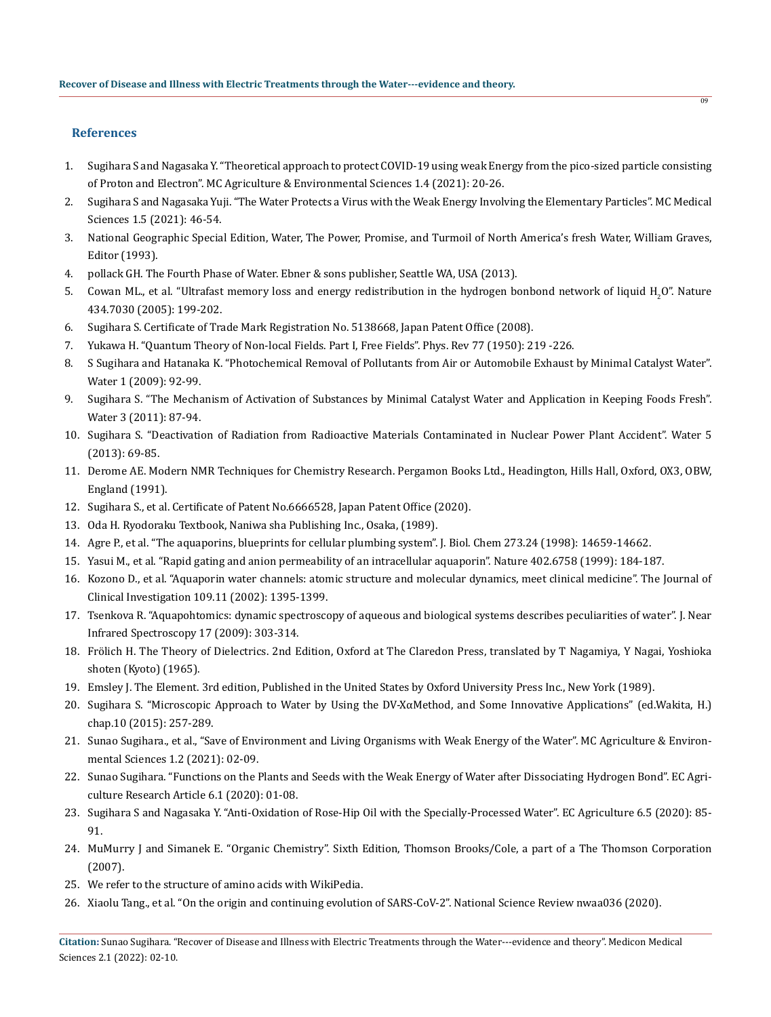# **References**

1. Sugihara S and Nagasaka Y. "Theoretical approach to protect COVID-19 using weak Energy from the pico-sized particle consisting of Proton and Electron". MC Agriculture & Environmental Sciences 1.4 (2021): 20-26.

n<sub>o</sub>

- 2. Sugihara S and Nagasaka Yuji. "The Water Protects a Virus with the Weak Energy Involving the Elementary Particles". MC Medical Sciences 1.5 (2021): 46-54.
- 3. National Geographic Special Edition, Water, The Power, Promise, and Turmoil of North America's fresh Water, William Graves, Editor (1993).
- 4. pollack GH. The Fourth Phase of Water. Ebner & sons publisher, Seattle WA, USA (2013).
- 5. Cowan ML., et al. "Ultrafast memory loss and energy redistribution in the hydrogen bonbond network of liquid H<sub>2</sub>O". Nature [434.7030 \(2005\): 199-202.](https://pubmed.ncbi.nlm.nih.gov/15758995/)
- 6. Sugihara S. Certificate of Trade Mark Registration No. 5138668, Japan Patent Office (2008).
- 7. Yukawa H. "Quantum Theory of Non-local Fields. Part I, Free Fields". Phys. Rev 77 (1950): 219 -226.
- 8. S Sugihara and Hatanaka K. "Photochemical Removal of Pollutants from Air or Automobile Exhaust by Minimal Catalyst Water". Water 1 (2009): 92-99.
- 9. Sugihara S. "The Mechanism of Activation of Substances by Minimal Catalyst Water and Application in Keeping Foods Fresh". Water 3 (2011): 87-94.
- 10. Sugihara S. "Deactivation of Radiation from Radioactive Materials Contaminated in Nuclear Power Plant Accident". Water 5 (2013): 69-85.
- 11. Derome AE. Modern NMR Techniques for Chemistry Research. Pergamon Books Ltd., Headington, Hills Hall, Oxford, OX3, OBW, England (1991).
- 12. Sugihara S., et al. Certificate of Patent No.6666528, Japan Patent Office (2020).
- 13. Oda H. Ryodoraku Textbook, Naniwa sha Publishing Inc., Osaka, (1989).
- 14. [Agre P., et al. "The aquaporins, blueprints for cellular plumbing system". J. Biol. Chem 273.24 \(1998\): 14659-14662.](https://pubmed.ncbi.nlm.nih.gov/9614059/)
- 15. [Yasui M., et al. "Rapid gating and anion permeability of an intracellular aquaporin". Nature 402.6758 \(1999\): 184-187.](https://pubmed.ncbi.nlm.nih.gov/10647010/)
- 16. [Kozono D., et al. "Aquaporin water channels: atomic structure and molecular dynamics, meet clinical medicine". The Journal of](https://www.ncbi.nlm.nih.gov/pmc/articles/PMC151002/) [Clinical Investigation 109.11 \(2002\): 1395-1399.](https://www.ncbi.nlm.nih.gov/pmc/articles/PMC151002/)
- 17. Tsenkova R. "Aquapohtomics: dynamic spectroscopy of aqueous and biological systems describes peculiarities of water". J. Near Infrared Spectroscopy 17 (2009): 303-314.
- 18. Frölich H. The Theory of Dielectrics. 2nd Edition, Oxford at The Claredon Press, translated by T Nagamiya, Y Nagai, Yoshioka shoten (Kyoto) (1965).
- 19. Emsley J. The Element. 3rd edition, Published in the United States by Oxford University Press Inc., New York (1989).
- 20. Sugihara S. "Microscopic Approach to Water by Using the DV-X $\alpha$ Method, and Some Innovative Applications" (ed.Wakita, H.) chap.10 (2015): 257-289.
- 21. Sunao Sugihara., et al., "Save of Environment and Living Organisms with Weak Energy of the Water". MC Agriculture & Environmental Sciences 1.2 (2021): 02-09.
- 22. Sunao Sugihara. "Functions on the Plants and Seeds with the Weak Energy of Water after Dissociating Hydrogen Bond". EC Agriculture Research Article 6.1 (2020): 01-08.
- 23. Sugihara S and Nagasaka Y. "Anti-Oxidation of Rose-Hip Oil with the Specially-Processed Water". EC Agriculture 6.5 (2020): 85- 91.
- 24. MuMurry J and Simanek E. "Organic Chemistry". Sixth Edition, Thomson Brooks/Cole, a part of a The Thomson Corporation (2007).
- 25. We refer to the structure of amino acids with WikiPedia.
- 26. Xiaolu Tang., et al. "On the origin and continuing evolution of SARS-CoV-2". National Science Review nwaa036 (2020).